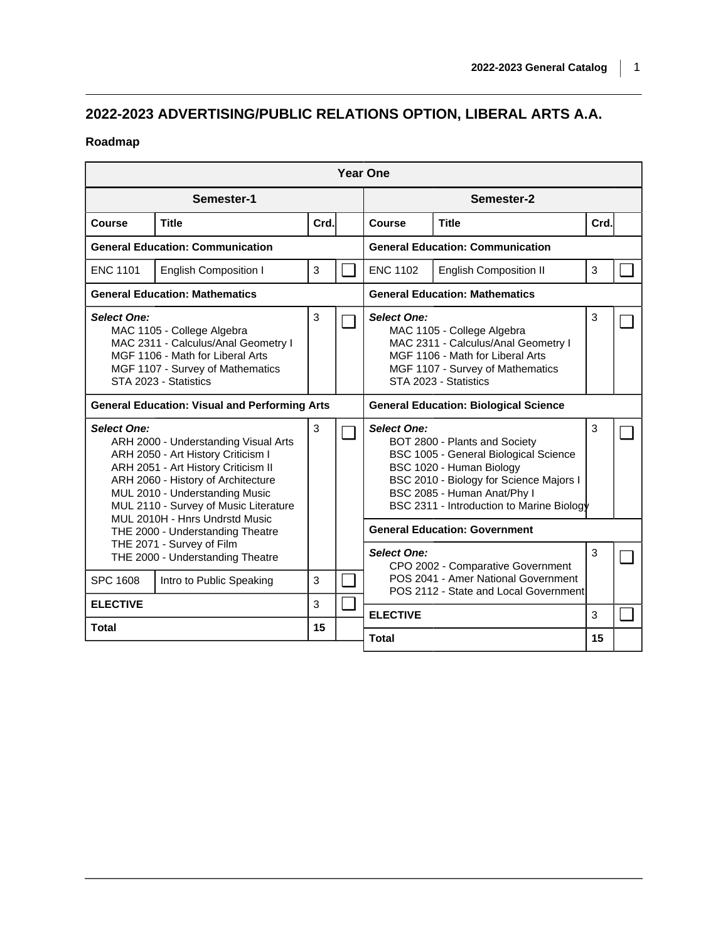## **2022-2023 ADVERTISING/PUBLIC RELATIONS OPTION, LIBERAL ARTS A.A.**

## **Roadmap**

| <b>Year One</b>                                                                                                                                                                                                                                                                                                                |                                                      |      |                                              |                                                                                                                                                                                          |                                                                                                                                                                                                                           |      |  |  |  |  |  |  |  |
|--------------------------------------------------------------------------------------------------------------------------------------------------------------------------------------------------------------------------------------------------------------------------------------------------------------------------------|------------------------------------------------------|------|----------------------------------------------|------------------------------------------------------------------------------------------------------------------------------------------------------------------------------------------|---------------------------------------------------------------------------------------------------------------------------------------------------------------------------------------------------------------------------|------|--|--|--|--|--|--|--|
| Semester-1                                                                                                                                                                                                                                                                                                                     |                                                      |      |                                              | Semester-2                                                                                                                                                                               |                                                                                                                                                                                                                           |      |  |  |  |  |  |  |  |
| <b>Course</b>                                                                                                                                                                                                                                                                                                                  | <b>Title</b>                                         | Crd. |                                              | <b>Course</b>                                                                                                                                                                            | <b>Title</b>                                                                                                                                                                                                              | Crd. |  |  |  |  |  |  |  |
| <b>General Education: Communication</b>                                                                                                                                                                                                                                                                                        |                                                      |      | <b>General Education: Communication</b>      |                                                                                                                                                                                          |                                                                                                                                                                                                                           |      |  |  |  |  |  |  |  |
| <b>ENC 1101</b>                                                                                                                                                                                                                                                                                                                | <b>English Composition I</b>                         | 3    | $\Box$                                       | <b>ENC 1102</b>                                                                                                                                                                          | <b>English Composition II</b>                                                                                                                                                                                             | 3    |  |  |  |  |  |  |  |
| <b>General Education: Mathematics</b>                                                                                                                                                                                                                                                                                          |                                                      |      |                                              | <b>General Education: Mathematics</b>                                                                                                                                                    |                                                                                                                                                                                                                           |      |  |  |  |  |  |  |  |
| <b>Select One:</b><br>MAC 1105 - College Algebra<br>MAC 2311 - Calculus/Anal Geometry I<br>MGF 1106 - Math for Liberal Arts<br>MGF 1107 - Survey of Mathematics<br>STA 2023 - Statistics                                                                                                                                       |                                                      | 3    |                                              | <b>Select One:</b><br>MAC 1105 - College Algebra<br>MAC 2311 - Calculus/Anal Geometry I<br>MGF 1106 - Math for Liberal Arts<br>MGF 1107 - Survey of Mathematics<br>STA 2023 - Statistics |                                                                                                                                                                                                                           | 3    |  |  |  |  |  |  |  |
|                                                                                                                                                                                                                                                                                                                                | <b>General Education: Visual and Performing Arts</b> |      | <b>General Education: Biological Science</b> |                                                                                                                                                                                          |                                                                                                                                                                                                                           |      |  |  |  |  |  |  |  |
| <b>Select One:</b><br>ARH 2000 - Understanding Visual Arts<br>ARH 2050 - Art History Criticism I<br>ARH 2051 - Art History Criticism II<br>ARH 2060 - History of Architecture<br>MUL 2010 - Understanding Music<br>MUL 2110 - Survey of Music Literature<br>MUL 2010H - Hnrs Undrstd Music<br>THE 2000 - Understanding Theatre |                                                      | 3    |                                              | <b>Select One:</b>                                                                                                                                                                       | BOT 2800 - Plants and Society<br>BSC 1005 - General Biological Science<br>BSC 1020 - Human Biology<br>BSC 2010 - Biology for Science Majors I<br>BSC 2085 - Human Anat/Phy I<br>BSC 2311 - Introduction to Marine Biology | 3    |  |  |  |  |  |  |  |
|                                                                                                                                                                                                                                                                                                                                |                                                      |      |                                              | <b>General Education: Government</b>                                                                                                                                                     |                                                                                                                                                                                                                           |      |  |  |  |  |  |  |  |
| THE 2071 - Survey of Film<br>THE 2000 - Understanding Theatre                                                                                                                                                                                                                                                                  |                                                      |      |                                              | <b>Select One:</b>                                                                                                                                                                       | CPO 2002 - Comparative Government                                                                                                                                                                                         | 3    |  |  |  |  |  |  |  |
| <b>SPC 1608</b>                                                                                                                                                                                                                                                                                                                | Intro to Public Speaking                             | 3    |                                              | POS 2041 - Amer National Government<br>POS 2112 - State and Local Government                                                                                                             |                                                                                                                                                                                                                           |      |  |  |  |  |  |  |  |
| <b>ELECTIVE</b>                                                                                                                                                                                                                                                                                                                |                                                      | 3    | $\Box$                                       | <b>ELECTIVE</b>                                                                                                                                                                          |                                                                                                                                                                                                                           | 3    |  |  |  |  |  |  |  |
| <b>Total</b>                                                                                                                                                                                                                                                                                                                   |                                                      | 15   |                                              | <b>Total</b>                                                                                                                                                                             |                                                                                                                                                                                                                           | 15   |  |  |  |  |  |  |  |